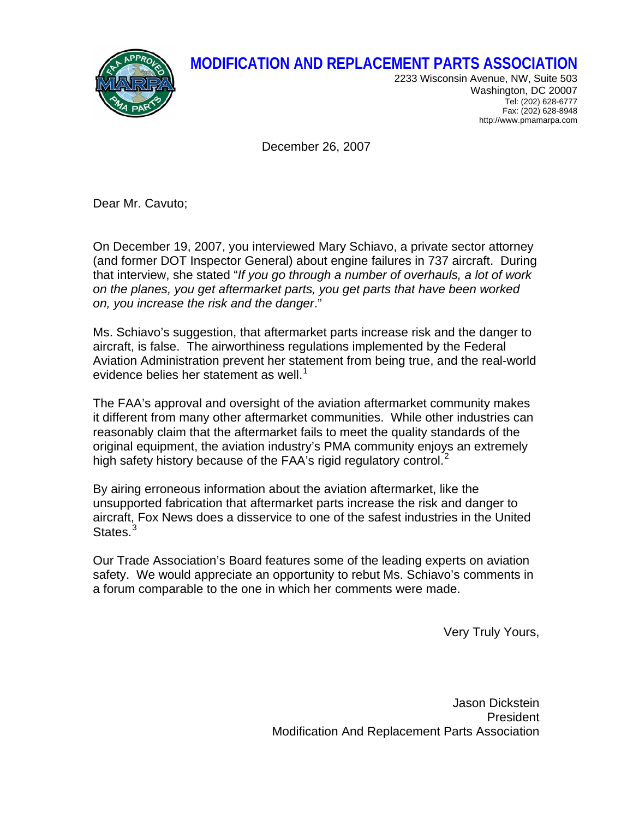

## **MODIFICATION AND REPLACEMENT PARTS ASSOCIATION**

2233 Wisconsin Avenue, NW, Suite 503 Washington, DC 20007 Tel: (202) 628-6777 Fax: (202) 628-8948 http://www.pmamarpa.com

December 26, 2007

Dear Mr. Cavuto;

On December 19, 2007, you interviewed Mary Schiavo, a private sector attorney (and former DOT Inspector General) about engine failures in 737 aircraft. During that interview, she stated "*If you go through a number of overhauls, a lot of work on the planes, you get aftermarket parts, you get parts that have been worked on, you increase the risk and the danger*."

Ms. Schiavo's suggestion, that aftermarket parts increase risk and the danger to aircraft, is false. The airworthiness regulations implemented by the Federal Aviation Administration prevent her statement from being true, and the real-world evidence belies her statement as well.<sup>[1](#page-1-0)</sup>

The FAA's approval and oversight of the aviation aftermarket community makes it different from many other aftermarket communities. While other industries can reasonably claim that the aftermarket fails to meet the quality standards of the original equipment, the aviation industry's PMA community enjoys an extremely high safety history because of the FAA's rigid regulatory control. $2^2$  $2^2$ 

By airing erroneous information about the aviation aftermarket, like the unsupported fabrication that aftermarket parts increase the risk and danger to aircraft, Fox News does a disservice to one of the safest industries in the United States.<sup>[3](#page-1-2)</sup>

Our Trade Association's Board features some of the leading experts on aviation safety. We would appreciate an opportunity to rebut Ms. Schiavo's comments in a forum comparable to the one in which her comments were made.

Very Truly Yours,

Jason Dickstein President Modification And Replacement Parts Association